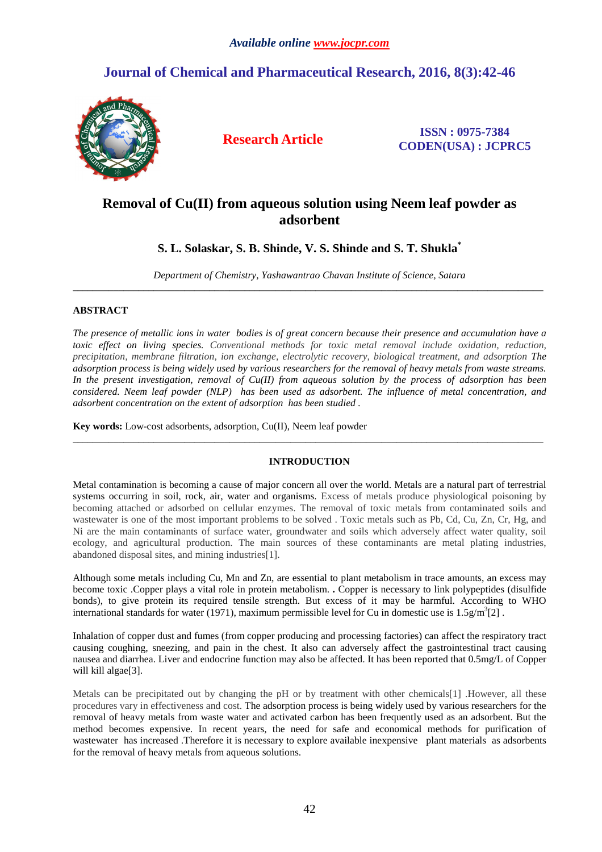# **Journal of Chemical and Pharmaceutical Research, 2016, 8(3):42-46**



**Research Article ISSN : 0975-7384 CODEN(USA) : JCPRC5**

## **Removal of Cu(II) from aqueous solution using Neem leaf powder as adsorbent**

## **S. L. Solaskar, S. B. Shinde, V. S. Shinde and S. T. Shukla\***

*Department of Chemistry, Yashawantrao Chavan Institute of Science, Satara*  \_\_\_\_\_\_\_\_\_\_\_\_\_\_\_\_\_\_\_\_\_\_\_\_\_\_\_\_\_\_\_\_\_\_\_\_\_\_\_\_\_\_\_\_\_\_\_\_\_\_\_\_\_\_\_\_\_\_\_\_\_\_\_\_\_\_\_\_\_\_\_\_\_\_\_\_\_\_\_\_\_\_\_\_\_\_\_\_\_\_\_\_\_

## **ABSTRACT**

*The presence of metallic ions in water bodies is of great concern because their presence and accumulation have a toxic effect on living species. Conventional methods for toxic metal removal include oxidation, reduction, precipitation, membrane filtration, ion exchange, electrolytic recovery, biological treatment, and adsorption The adsorption process is being widely used by various researchers for the removal of heavy metals from waste streams. In the present investigation, removal of Cu(II) from aqueous solution by the process of adsorption has been considered. Neem leaf powder (NLP) has been used as adsorbent. The influence of metal concentration, and adsorbent concentration on the extent of adsorption has been studied .* 

**Key words:** Low-cost adsorbents, adsorption, Cu(II), Neem leaf powder

## **INTRODUCTION**

\_\_\_\_\_\_\_\_\_\_\_\_\_\_\_\_\_\_\_\_\_\_\_\_\_\_\_\_\_\_\_\_\_\_\_\_\_\_\_\_\_\_\_\_\_\_\_\_\_\_\_\_\_\_\_\_\_\_\_\_\_\_\_\_\_\_\_\_\_\_\_\_\_\_\_\_\_\_\_\_\_\_\_\_\_\_\_\_\_\_\_\_\_

Metal contamination is becoming a cause of major concern all over the world. Metals are a natural part of terrestrial systems occurring in soil, rock, air, water and organisms. Excess of metals produce physiological poisoning by becoming attached or adsorbed on cellular enzymes. The removal of toxic metals from contaminated soils and wastewater is one of the most important problems to be solved . Toxic metals such as Pb, Cd, Cu, Zn, Cr, Hg, and Ni are the main contaminants of surface water, groundwater and soils which adversely affect water quality, soil ecology, and agricultural production. The main sources of these contaminants are metal plating industries, abandoned disposal sites, and mining industries[1].

Although some metals including Cu, Mn and Zn, are essential to plant metabolism in trace amounts, an excess may become toxic .Copper plays a vital role in protein metabolism. **.** Copper is necessary to link polypeptides (disulfide bonds), to give protein its required tensile strength. But excess of it may be harmful. According to WHO international standards for water (1971), maximum permissible level for Cu in domestic use is  $1.5g/m<sup>3</sup>[2]$ .

Inhalation of copper dust and fumes (from copper producing and processing factories) can affect the respiratory tract causing coughing, sneezing, and pain in the chest. It also can adversely affect the gastrointestinal tract causing nausea and diarrhea. Liver and endocrine function may also be affected. It has been reported that 0.5mg/L of Copper will kill algae[3].

Metals can be precipitated out by changing the pH or by treatment with other chemicals[1] .However, all these procedures vary in effectiveness and cost. The adsorption process is being widely used by various researchers for the removal of heavy metals from waste water and activated carbon has been frequently used as an adsorbent. But the method becomes expensive. In recent years, the need for safe and economical methods for purification of wastewater has increased .Therefore it is necessary to explore available inexpensive plant materials as adsorbents for the removal of heavy metals from aqueous solutions.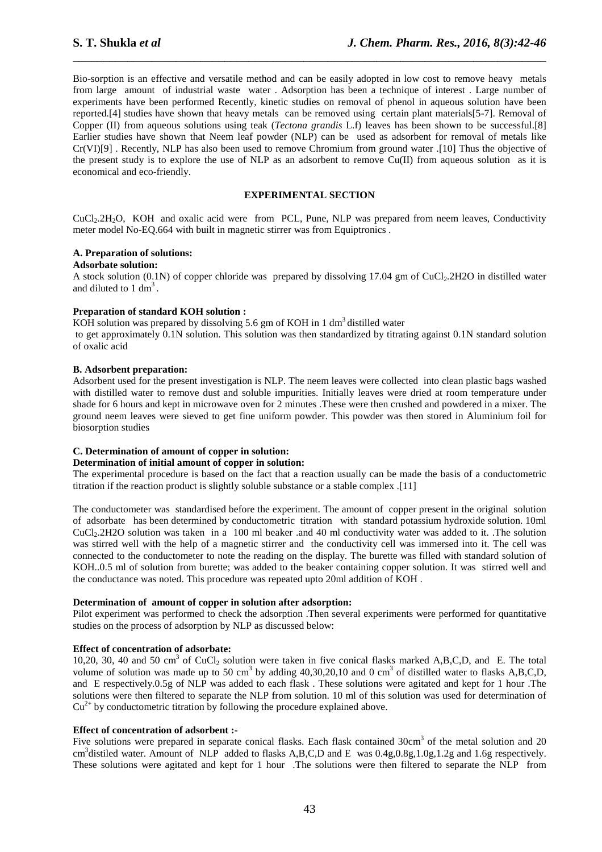Bio-sorption is an effective and versatile method and can be easily adopted in low cost to remove heavy metals from large amount of industrial waste water . Adsorption has been a technique of interest . Large number of experiments have been performed Recently, kinetic studies on removal of phenol in aqueous solution have been reported.[4] studies have shown that heavy metals can be removed using certain plant materials[5-7]. Removal of Copper (II) from aqueous solutions using teak (*Tectona grandis* L.f) leaves has been shown to be successful.[8] Earlier studies have shown that Neem leaf powder (NLP) can be used as adsorbent for removal of metals like Cr(VI)[9] . Recently, NLP has also been used to remove Chromium from ground water .[10] Thus the objective of the present study is to explore the use of NLP as an adsorbent to remove  $Cu(II)$  from aqueous solution as it is economical and eco-friendly.

\_\_\_\_\_\_\_\_\_\_\_\_\_\_\_\_\_\_\_\_\_\_\_\_\_\_\_\_\_\_\_\_\_\_\_\_\_\_\_\_\_\_\_\_\_\_\_\_\_\_\_\_\_\_\_\_\_\_\_\_\_\_\_\_\_\_\_\_\_\_\_\_\_\_\_\_\_\_

## **EXPERIMENTAL SECTION**

CuCl<sub>2</sub>.2H<sub>2</sub>O, KOH and oxalic acid were from PCL, Pune, NLP was prepared from neem leaves, Conductivity meter model No-EQ.664 with built in magnetic stirrer was from Equiptronics.

## **A. Preparation of solutions:**

#### **Adsorbate solution:**

A stock solution (0.1N) of copper chloride was prepared by dissolving  $17.04$  gm of CuCl<sub>2</sub>.2H2O in distilled water and diluted to  $1 \text{ dm}^3$ .

#### **Preparation of standard KOH solution :**

KOH solution was prepared by dissolving 5.6 gm of KOH in 1 dm<sup>3</sup> distilled water to get approximately 0.1N solution. This solution was then standardized by titrating against 0.1N standard solution of oxalic acid

#### **B. Adsorbent preparation:**

Adsorbent used for the present investigation is NLP. The neem leaves were collected into clean plastic bags washed with distilled water to remove dust and soluble impurities. Initially leaves were dried at room temperature under shade for 6 hours and kept in microwave oven for 2 minutes .These were then crushed and powdered in a mixer. The ground neem leaves were sieved to get fine uniform powder. This powder was then stored in Aluminium foil for biosorption studies

## **C. Determination of amount of copper in solution:**

#### **Determination of initial amount of copper in solution:**

The experimental procedure is based on the fact that a reaction usually can be made the basis of a conductometric titration if the reaction product is slightly soluble substance or a stable complex .[11]

The conductometer was standardised before the experiment. The amount of copper present in the original solution of adsorbate has been determined by conductometric titration with standard potassium hydroxide solution. 10ml CuCl2.2H2O solution was taken in a 100 ml beaker .and 40 ml conductivity water was added to it. .The solution was stirred well with the help of a magnetic stirrer and the conductivity cell was immersed into it. The cell was connected to the conductometer to note the reading on the display. The burette was filled with standard solution of KOH..0.5 ml of solution from burette; was added to the beaker containing copper solution. It was stirred well and the conductance was noted. This procedure was repeated upto 20ml addition of KOH .

### **Determination of amount of copper in solution after adsorption:**

Pilot experiment was performed to check the adsorption .Then several experiments were performed for quantitative studies on the process of adsorption by NLP as discussed below:

## **Effect of concentration of adsorbate:**

10,20, 30, 40 and 50 cm<sup>3</sup> of CuCl<sub>2</sub> solution were taken in five conical flasks marked A,B,C,D, and E. The total volume of solution was made up to 50 cm<sup>3</sup> by adding  $40,30,20,10$  and 0 cm<sup>3</sup> of distilled water to flasks A,B,C,D, and E respectively.0.5g of NLP was added to each flask . These solutions were agitated and kept for 1 hour .The solutions were then filtered to separate the NLP from solution. 10 ml of this solution was used for determination of  $Cu<sup>2+</sup>$  by conductometric titration by following the procedure explained above.

#### **Effect of concentration of adsorbent :-**

Five solutions were prepared in separate conical flasks. Each flask contained 30cm<sup>3</sup> of the metal solution and 20 cm<sup>3</sup>distiled water. Amount of NLP added to flasks A,B,C,D and E was  $0.4g, 0.8g, 1.0g, 1.2g$  and 1.6g respectively. These solutions were agitated and kept for 1 hour .The solutions were then filtered to separate the NLP from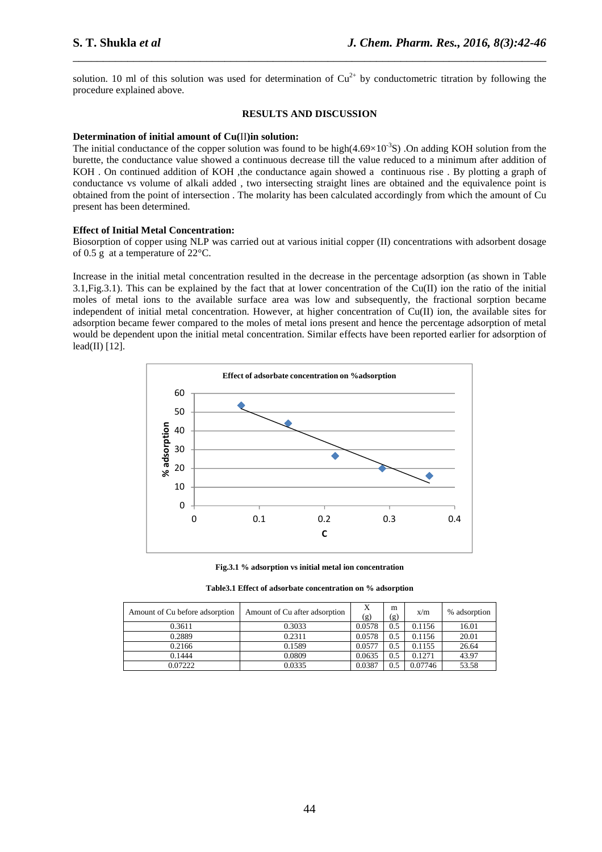solution. 10 ml of this solution was used for determination of  $Cu^{2+}$  by conductometric titration by following the procedure explained above.

\_\_\_\_\_\_\_\_\_\_\_\_\_\_\_\_\_\_\_\_\_\_\_\_\_\_\_\_\_\_\_\_\_\_\_\_\_\_\_\_\_\_\_\_\_\_\_\_\_\_\_\_\_\_\_\_\_\_\_\_\_\_\_\_\_\_\_\_\_\_\_\_\_\_\_\_\_\_

#### **RESULTS AND DISCUSSION**

#### **Determination of initial amount of Cu(**II**)in solution:**

The initial conductance of the copper solution was found to be high $(4.69\times10^{-3}S)$  .On adding KOH solution from the burette, the conductance value showed a continuous decrease till the value reduced to a minimum after addition of KOH . On continued addition of KOH ,the conductance again showed a continuous rise . By plotting a graph of conductance vs volume of alkali added , two intersecting straight lines are obtained and the equivalence point is obtained from the point of intersection . The molarity has been calculated accordingly from which the amount of Cu present has been determined.

#### **Effect of Initial Metal Concentration:**

Biosorption of copper using NLP was carried out at various initial copper (II) concentrations with adsorbent dosage of 0.5 g at a temperature of 22°C.

Increase in the initial metal concentration resulted in the decrease in the percentage adsorption (as shown in Table 3.1,Fig.3.1). This can be explained by the fact that at lower concentration of the Cu(II) ion the ratio of the initial moles of metal ions to the available surface area was low and subsequently, the fractional sorption became independent of initial metal concentration. However, at higher concentration of Cu(II) ion, the available sites for adsorption became fewer compared to the moles of metal ions present and hence the percentage adsorption of metal would be dependent upon the initial metal concentration. Similar effects have been reported earlier for adsorption of lead(II) [12].



**Fig.3.1 % adsorption vs initial metal ion concentration** 

**Table3.1 Effect of adsorbate concentration on % adsorption** 

| Amount of Cu before adsorption | Amount of Cu after adsorption | X<br>(g) | m<br>(g) | x/m     | % adsorption |
|--------------------------------|-------------------------------|----------|----------|---------|--------------|
| 0.3611                         | 0.3033                        | 0.0578   | 0.5      | 0.1156  | 16.01        |
| 0.2889                         | 0.2311                        | 0.0578   | 0.5      | 0.1156  | 20.01        |
| 0.2166                         | 0.1589                        | 0.0577   | 0.5      | 0.1155  | 26.64        |
| 0.1444                         | 0.0809                        | 0.0635   | 0.5      | 0.1271  | 43.97        |
| 0.07222                        | 0.0335                        | 0.0387   | 0.5      | 0.07746 | 53.58        |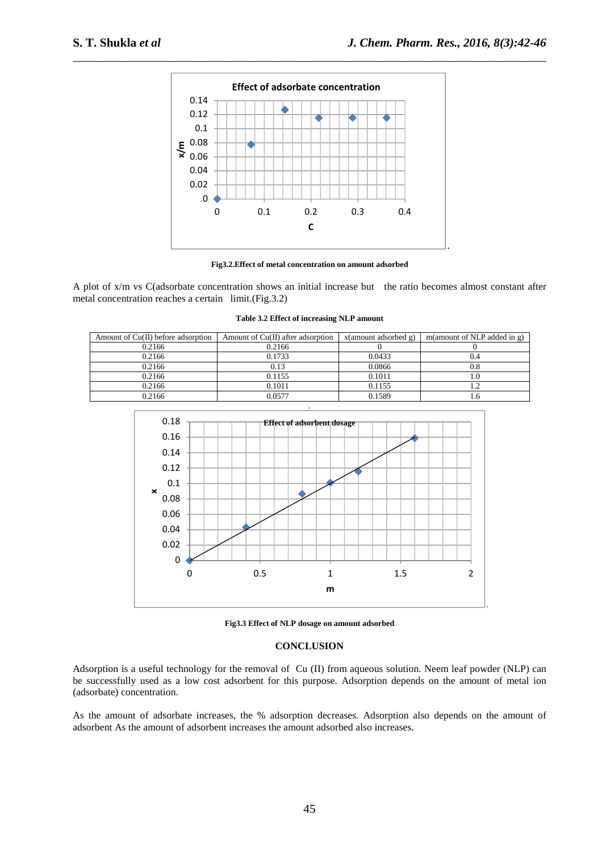

\_\_\_\_\_\_\_\_\_\_\_\_\_\_\_\_\_\_\_\_\_\_\_\_\_\_\_\_\_\_\_\_\_\_\_\_\_\_\_\_\_\_\_\_\_\_\_\_\_\_\_\_\_\_\_\_\_\_\_\_\_\_\_\_\_\_\_\_\_\_\_\_\_\_\_\_\_\_

**Fig3.2.Effect of metal concentration on amount adsorbed**

A plot of x/m vs C(adsorbate concentration shows an initial increase but the ratio becomes almost constant after metal concentration reaches a certain limit.(Fig.3.2)

| Amount of Cu(II) before adsorption | Amount of Cu(II) after adsorption | x(amount adsorbed g) | m(amount of NLP added in g) |
|------------------------------------|-----------------------------------|----------------------|-----------------------------|
| 0.2166                             | 0.2166                            |                      |                             |
| 0.2166                             | 0.1733                            | 0.0433               |                             |
| 0.2166                             | 0.13                              | 0.0866               |                             |
| 0.2166                             | 0.1155                            | 0.1011               |                             |
| 0.2166                             | 0.1011                            | 0.1155               |                             |
| 0.2166                             | 0.0577                            | 0.1589               |                             |



**Fig3.3 Effect of NLP dosage on amount adsorbed** 

#### **CONCLUSION**

Adsorption is a useful technology for the removal of Cu (II) from aqueous solution. Neem leaf powder (NLP) can be successfully used as a low cost adsorbent for this purpose. Adsorption depends on the amount of metal ion (adsorbate) concentration.

As the amount of adsorbate increases, the % adsorption decreases. Adsorption also depends on the amount of adsorbent As the amount of adsorbent increases the amount adsorbed also increases.